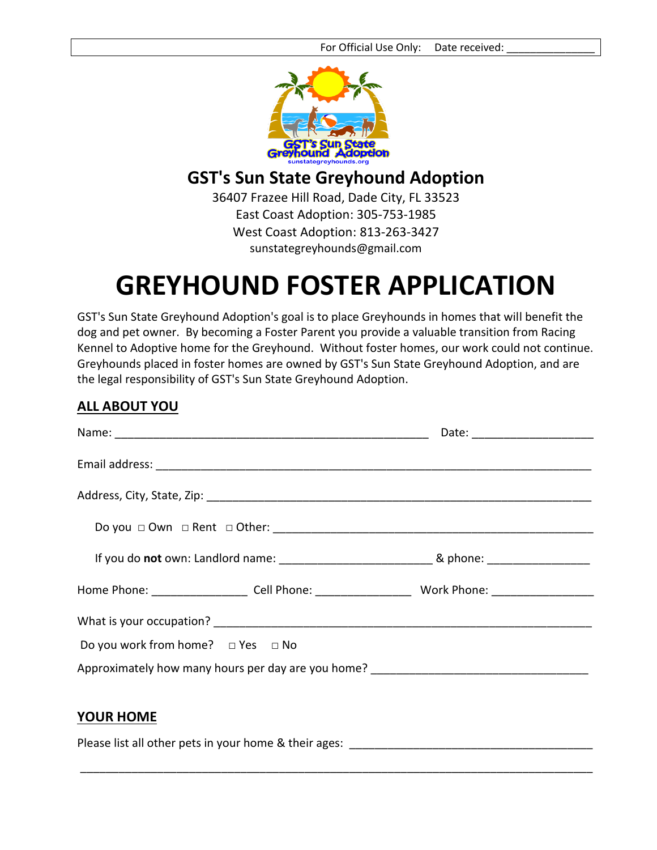

## **GST's Sun State Greyhound Adoption**

36407 Frazee Hill Road, Dade City, FL 33523 East Coast Adoption: 305-753-1985 West Coast Adoption: 813-263-3427 sunstategreyhounds@gmail.com

## **GREYHOUND FOSTER APPLICATION**

GST's Sun State Greyhound Adoption's goal is to place Greyhounds in homes that will benefit the dog and pet owner. By becoming a Foster Parent you provide a valuable transition from Racing Kennel to Adoptive home for the Greyhound. Without foster homes, our work could not continue. Greyhounds placed in foster homes are owned by GST's Sun State Greyhound Adoption, and are the legal responsibility of GST's Sun State Greyhound Adoption.

## **ALL ABOUT YOU**

|                                                                                                           | Date: _________________________ |  |
|-----------------------------------------------------------------------------------------------------------|---------------------------------|--|
|                                                                                                           |                                 |  |
|                                                                                                           |                                 |  |
|                                                                                                           |                                 |  |
|                                                                                                           |                                 |  |
| Home Phone: ______________________Cell Phone: __________________________Work Phone: _____________________ |                                 |  |
|                                                                                                           |                                 |  |
| Do you work from home? $\Box$ Yes $\Box$ No                                                               |                                 |  |
| Approximately how many hours per day are you home? ______________________________                         |                                 |  |
|                                                                                                           |                                 |  |
| <b>YOUR HOME</b>                                                                                          |                                 |  |

Please list all other pets in your home & their ages: \_\_\_\_\_\_\_\_\_\_\_\_\_\_\_\_\_\_\_\_\_\_\_\_\_\_\_

\_\_\_\_\_\_\_\_\_\_\_\_\_\_\_\_\_\_\_\_\_\_\_\_\_\_\_\_\_\_\_\_\_\_\_\_\_\_\_\_\_\_\_\_\_\_\_\_\_\_\_\_\_\_\_\_\_\_\_\_\_\_\_\_\_\_\_\_\_\_\_\_\_\_\_\_\_\_\_\_